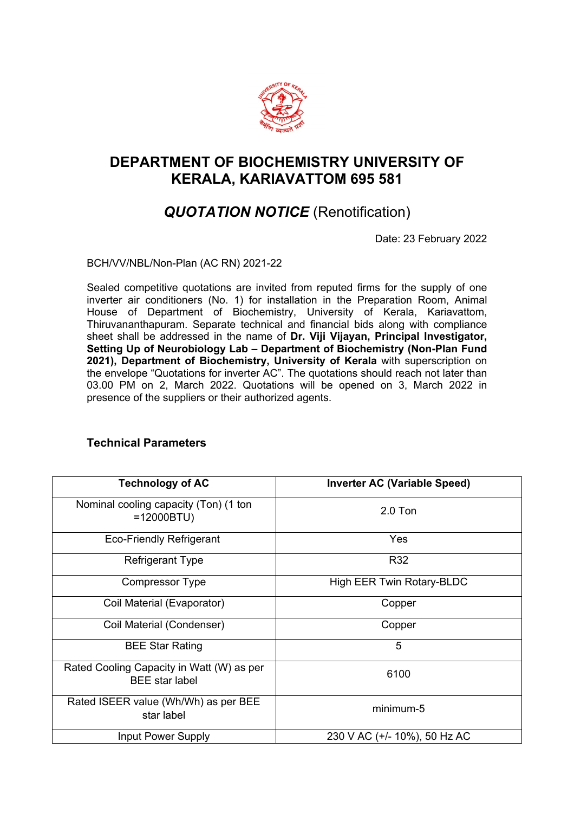

## **DEPARTMENT OF BIOCHEMISTRY UNIVERSITY OF KERALA, KARIAVATTOM 695 581**

## *QUOTATION NOTICE* (Renotification)

Date: 23 February 2022

BCH/VV/NBL/Non-Plan (AC RN) 2021-22

Sealed competitive quotations are invited from reputed firms for the supply of one inverter air conditioners (No. 1) for installation in the Preparation Room, Animal House of Department of Biochemistry, University of Kerala, Kariavattom, Thiruvananthapuram. Separate technical and financial bids along with compliance sheet shall be addressed in the name of **Dr. Viji Vijayan, Principal Investigator, Setting Up of Neurobiology Lab – Department of Biochemistry (Non-Plan Fund 2021), Department of Biochemistry, University of Kerala** with superscription on the envelope "Quotations for inverter AC". The quotations should reach not later than 03.00 PM on 2, March 2022. Quotations will be opened on 3, March 2022 in presence of the suppliers or their authorized agents.

| <b>Technology of AC</b>                                            | <b>Inverter AC (Variable Speed)</b> |
|--------------------------------------------------------------------|-------------------------------------|
| Nominal cooling capacity (Ton) (1 ton<br>$=12000BTU$               | $2.0$ Ton                           |
| <b>Eco-Friendly Refrigerant</b>                                    | Yes                                 |
| <b>Refrigerant Type</b>                                            | R32                                 |
| <b>Compressor Type</b>                                             | High EER Twin Rotary-BLDC           |
| Coil Material (Evaporator)                                         | Copper                              |
| Coil Material (Condenser)                                          | Copper                              |
| <b>BEE Star Rating</b>                                             | 5                                   |
| Rated Cooling Capacity in Watt (W) as per<br><b>BEE</b> star label | 6100                                |
| Rated ISEER value (Wh/Wh) as per BEE<br>star label                 | minimum-5                           |
| Input Power Supply                                                 | 230 V AC (+/- 10%), 50 Hz AC        |

## **Technical Parameters**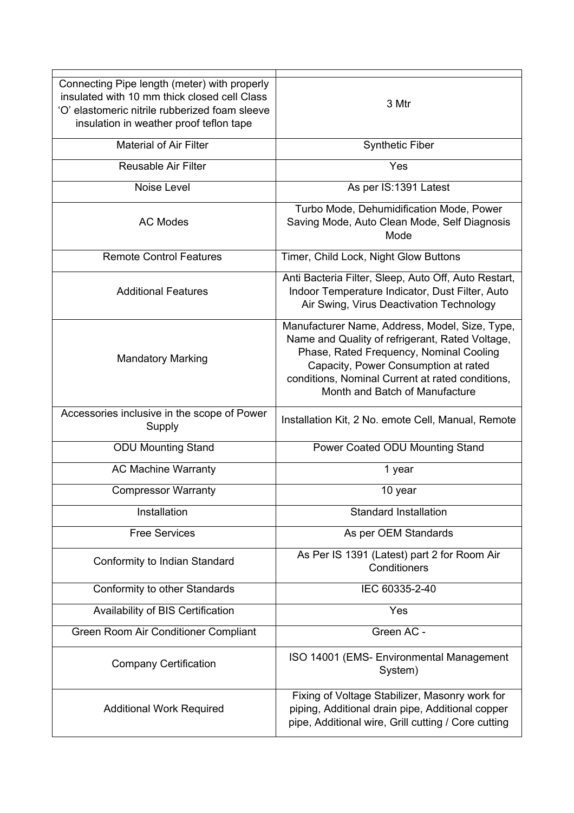| Connecting Pipe length (meter) with properly<br>insulated with 10 mm thick closed cell Class<br>'O' elastomeric nitrile rubberized foam sleeve<br>insulation in weather proof teflon tape | 3 Mtr                                                                                                                                                                                                                                                                      |
|-------------------------------------------------------------------------------------------------------------------------------------------------------------------------------------------|----------------------------------------------------------------------------------------------------------------------------------------------------------------------------------------------------------------------------------------------------------------------------|
| <b>Material of Air Filter</b>                                                                                                                                                             | <b>Synthetic Fiber</b>                                                                                                                                                                                                                                                     |
| <b>Reusable Air Filter</b>                                                                                                                                                                | Yes                                                                                                                                                                                                                                                                        |
| Noise Level                                                                                                                                                                               | As per IS:1391 Latest                                                                                                                                                                                                                                                      |
| <b>AC Modes</b>                                                                                                                                                                           | Turbo Mode, Dehumidification Mode, Power<br>Saving Mode, Auto Clean Mode, Self Diagnosis<br>Mode                                                                                                                                                                           |
| <b>Remote Control Features</b>                                                                                                                                                            | Timer, Child Lock, Night Glow Buttons                                                                                                                                                                                                                                      |
| <b>Additional Features</b>                                                                                                                                                                | Anti Bacteria Filter, Sleep, Auto Off, Auto Restart,<br>Indoor Temperature Indicator, Dust Filter, Auto<br>Air Swing, Virus Deactivation Technology                                                                                                                        |
| <b>Mandatory Marking</b>                                                                                                                                                                  | Manufacturer Name, Address, Model, Size, Type,<br>Name and Quality of refrigerant, Rated Voltage,<br>Phase, Rated Frequency, Nominal Cooling<br>Capacity, Power Consumption at rated<br>conditions, Nominal Current at rated conditions,<br>Month and Batch of Manufacture |
| Accessories inclusive in the scope of Power<br>Supply                                                                                                                                     | Installation Kit, 2 No. emote Cell, Manual, Remote                                                                                                                                                                                                                         |
| <b>ODU Mounting Stand</b>                                                                                                                                                                 | Power Coated ODU Mounting Stand                                                                                                                                                                                                                                            |
| <b>AC Machine Warranty</b>                                                                                                                                                                | 1 year                                                                                                                                                                                                                                                                     |
| <b>Compressor Warranty</b>                                                                                                                                                                | 10 year                                                                                                                                                                                                                                                                    |
| Installation                                                                                                                                                                              | <b>Standard Installation</b>                                                                                                                                                                                                                                               |
| <b>Free Services</b>                                                                                                                                                                      | As per OEM Standards                                                                                                                                                                                                                                                       |
| Conformity to Indian Standard                                                                                                                                                             | As Per IS 1391 (Latest) part 2 for Room Air<br>Conditioners                                                                                                                                                                                                                |
| Conformity to other Standards                                                                                                                                                             | IEC 60335-2-40                                                                                                                                                                                                                                                             |
| Availability of BIS Certification                                                                                                                                                         | Yes                                                                                                                                                                                                                                                                        |
| Green Room Air Conditioner Compliant                                                                                                                                                      | Green AC -                                                                                                                                                                                                                                                                 |
| <b>Company Certification</b>                                                                                                                                                              | ISO 14001 (EMS- Environmental Management<br>System)                                                                                                                                                                                                                        |
| <b>Additional Work Required</b>                                                                                                                                                           | Fixing of Voltage Stabilizer, Masonry work for<br>piping, Additional drain pipe, Additional copper<br>pipe, Additional wire, Grill cutting / Core cutting                                                                                                                  |